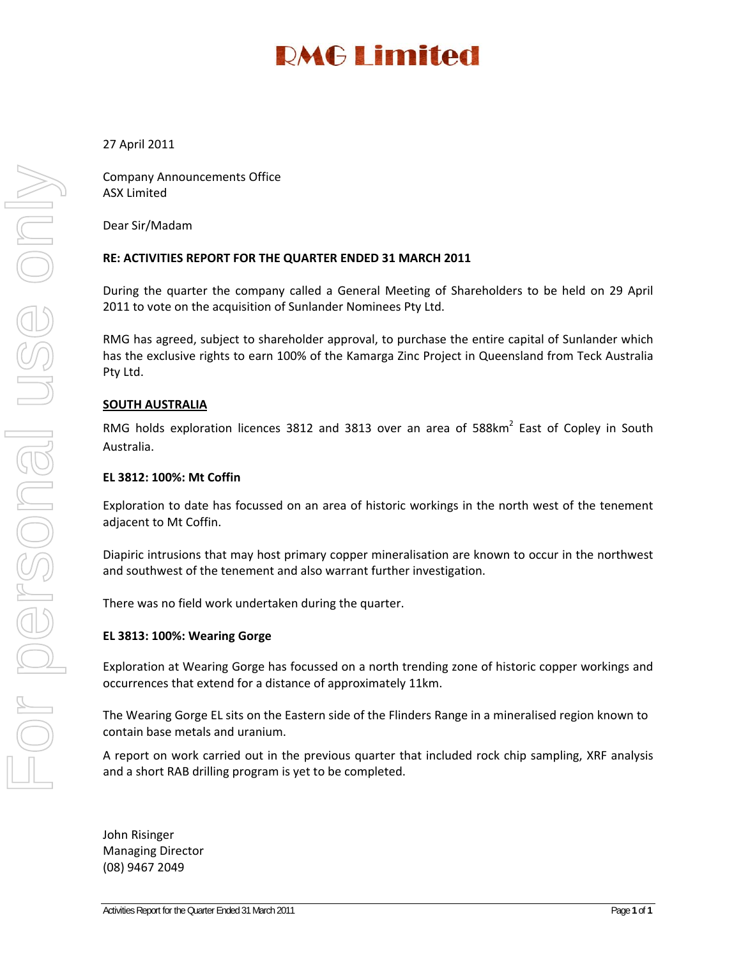# **RMG Limited**

### 27 April 2011

Company Announcements Office ASX Limited

Dear Sir/Madam

### **RE: ACTIVITIES REPORT FOR THE QUARTER ENDED 31 MARCH 2011**

During the quarter the company called a General Meeting of Shareholders to be held on 29 April 2011 to vote on the acquisition of Sunlander Nominees Pty Ltd.

RMG has agreed, subject to shareholder approval, to purchase the entire capital of Sunlander which has the exclusive rights to earn 100% of the Kamarga Zinc Project in Queensland from Teck Australia Pty Ltd.

#### **SOUTH AUSTRALIA**

RMG holds exploration licences 3812 and 3813 over an area of 588km<sup>2</sup> East of Copley in South Australia.

#### **EL 3812: 100%: Mt Coffin**

Exploration to date has focussed on an area of historic workings in the north west of the tenement adjacent to Mt Coffin.

Diapiric intrusions that may host primary copper mineralisation are known to occur in the northwest and southwest of the tenement and also warrant further investigation.

There was no field work undertaken during the quarter.

#### **EL 3813: 100%: Wearing Gorge**

Exploration at Wearing Gorge has focussed on a north trending zone of historic copper workings and occurrences that extend for a distance of approximately 11km.

The Wearing Gorge EL sits on the Eastern side of the Flinders Range in a mineralised region known to contain base metals and uranium.

A report on work carried out in the previous quarter that included rock chip sampling, XRF analysis and a short RAB drilling program is yet to be completed.

John Risinger Managing Director (08) 9467 2049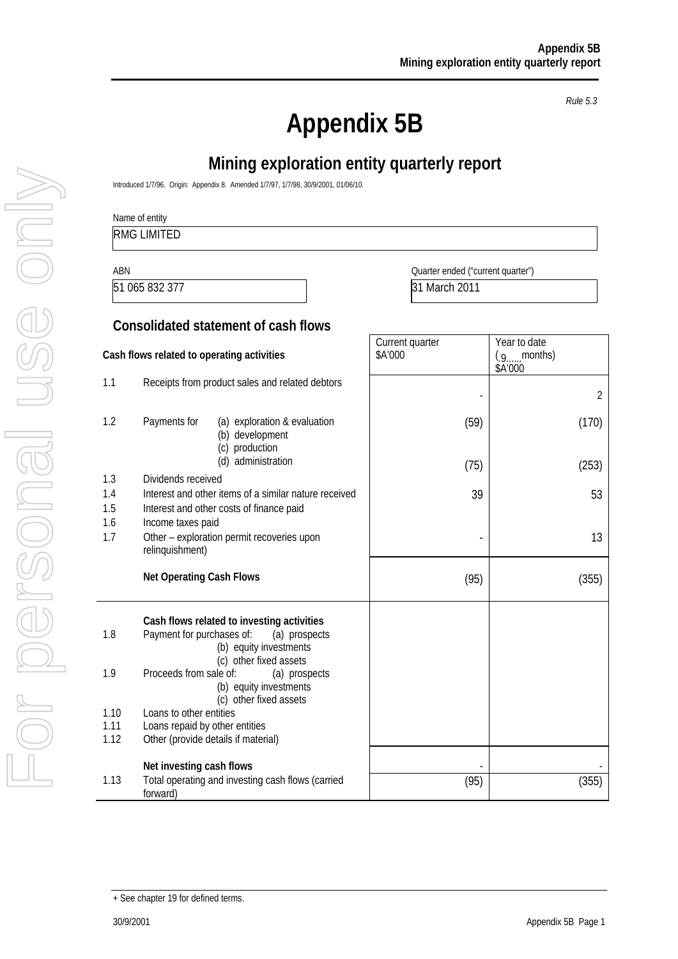**Appendix 5B** 

*Rule 5.3* 

# **Mining exploration entity quarterly report**

Introduced 1/7/96. Origin: Appendix 8. Amended 1/7/97, 1/7/98, 30/9/2001, 01/06/10.

Name of entity

RMG LIMITED

51 065 832 377 31 March 2011

ABN Quarter ended ("current quarter")

Year to date  $(g_{\ldots}$  months)

Current quarter \$A'000

### **Consolidated statement of cash flows**

**Cash flows related to operating activities** 

|                   |                                                                                                                                              |      | \$A'000        |
|-------------------|----------------------------------------------------------------------------------------------------------------------------------------------|------|----------------|
| 1.1               | Receipts from product sales and related debtors                                                                                              |      | $\overline{2}$ |
| 1.2               | Payments for<br>(a) exploration & evaluation<br>(b) development<br>production<br>(c)                                                         | (59) | (170)          |
|                   | (d) administration                                                                                                                           | (75) | (253)          |
| 1.3<br>1.4<br>1.5 | Dividends received<br>Interest and other items of a similar nature received<br>Interest and other costs of finance paid                      | 39   | 53             |
| 1.6<br>1.7        | Income taxes paid<br>Other - exploration permit recoveries upon<br>relinquishment)                                                           |      | 13             |
|                   | <b>Net Operating Cash Flows</b>                                                                                                              | (95) | (355)          |
| 1.8               | Cash flows related to investing activities<br>Payment for purchases of:<br>(a) prospects<br>(b) equity investments<br>(c) other fixed assets |      |                |
| 1.9               | Proceeds from sale of:<br>(a) prospects<br>(b) equity investments<br>(c) other fixed assets                                                  |      |                |
| 1.10              | Loans to other entities                                                                                                                      |      |                |
| 1.11              | Loans repaid by other entities                                                                                                               |      |                |
| 1.12              | Other (provide details if material)                                                                                                          |      |                |
|                   | Net investing cash flows                                                                                                                     |      |                |
| 1.13              | Total operating and investing cash flows (carried<br>forward)                                                                                | (95) | (355)          |

<sup>+</sup> See chapter 19 for defined terms.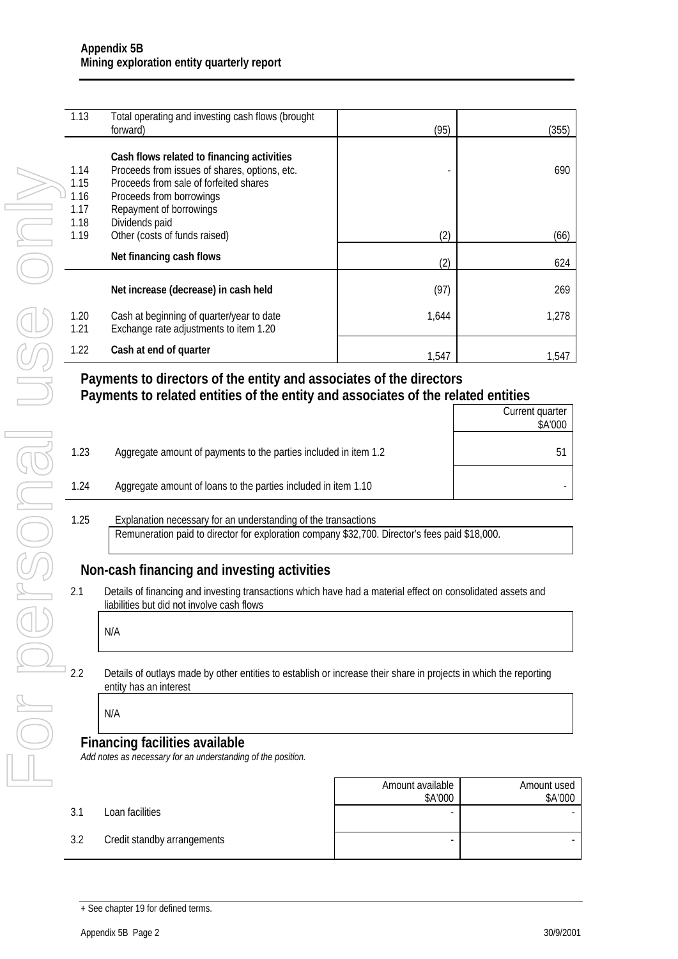| 1.13 | Total operating and investing cash flows (brought<br>forward) | (95)  | (355) |
|------|---------------------------------------------------------------|-------|-------|
|      |                                                               |       |       |
|      | Cash flows related to financing activities                    |       |       |
| 1.14 | Proceeds from issues of shares, options, etc.                 |       | 690   |
| 1.15 | Proceeds from sale of forfeited shares                        |       |       |
| 1.16 | Proceeds from borrowings                                      |       |       |
| 1.17 | Repayment of borrowings                                       |       |       |
| 1.18 | Dividends paid                                                |       |       |
| 1.19 | Other (costs of funds raised)                                 | (2)   | (66)  |
|      | Net financing cash flows                                      |       |       |
|      |                                                               | (2)   | 624   |
|      |                                                               |       |       |
|      | Net increase (decrease) in cash held                          | (97)  | 269   |
| 1.20 | Cash at beginning of quarter/year to date                     | 1,644 | 1,278 |
| 1.21 | Exchange rate adjustments to item 1.20                        |       |       |
|      |                                                               |       |       |
| 1.22 | Cash at end of quarter                                        | 1.547 | 1.547 |

### **Payments to directors of the entity and associates of the directors Payments to related entities of the entity and associates of the related entities**  Current quarter

|      |                                                                  | <b>Current guarter</b><br>\$A'000 |
|------|------------------------------------------------------------------|-----------------------------------|
| 1.23 | Aggregate amount of payments to the parties included in item 1.2 |                                   |
| 1.24 | Aggregate amount of loans to the parties included in item 1.10   |                                   |
|      |                                                                  |                                   |

### 1.25 Explanation necessary for an understanding of the transactions Remuneration paid to director for exploration company \$32,700. Director's fees paid \$18,000.

### **Non-cash financing and investing activities**

2.1 Details of financing and investing transactions which have had a material effect on consolidated assets and liabilities but did not involve cash flows  $\mathsf{r}$ 

| N/A |  |  |  |
|-----|--|--|--|
|     |  |  |  |

2.2 Details of outlays made by other entities to establish or increase their share in projects in which the reporting entity has an interest

### N/A

### **Financing facilities available**

*Add notes as necessary for an understanding of the position.* 

Amount available \$A'000 Amount used \$A'000 3.1 Loan facilities - - 3.2 Credit standby arrangements and the standard standard standard standard standard standard standard standard standard standard standard standard standard standard standard standard standard standard standard standard st

<sup>+</sup> See chapter 19 for defined terms.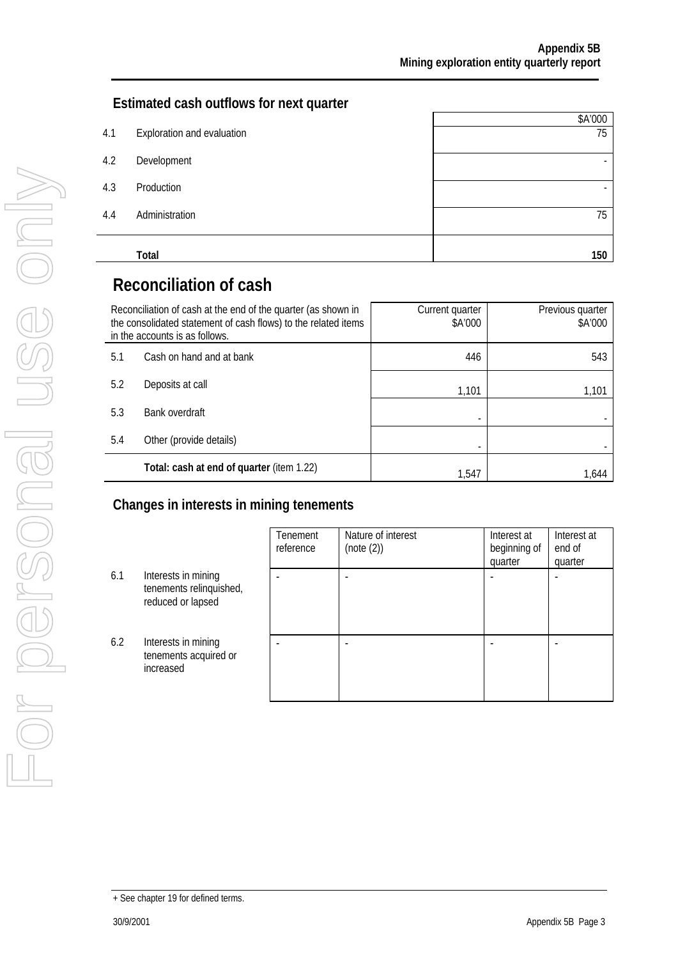### **Estimated cash outflows for next quarter**

|     |                            | \$A'000                  |
|-----|----------------------------|--------------------------|
| 4.1 | Exploration and evaluation | 75                       |
| 4.2 | Development                | $\overline{\phantom{a}}$ |
| 4.3 | Production                 | $\overline{\phantom{a}}$ |
| 4.4 | Administration             | 75                       |
|     | Total                      | 150                      |

# **Reconciliation of cash**

|                                | Reconciliation of cash at the end of the quarter (as shown in<br>the consolidated statement of cash flows) to the related items<br>in the accounts is as follows. | Current quarter<br>\$A'000 | Previous quarter<br>\$A'000 |
|--------------------------------|-------------------------------------------------------------------------------------------------------------------------------------------------------------------|----------------------------|-----------------------------|
| 5.1                            | Cash on hand and at bank                                                                                                                                          | 446                        | 543                         |
| 5.2                            | Deposits at call                                                                                                                                                  | 1,101                      | 1,101                       |
| 5.3                            | Bank overdraft                                                                                                                                                    |                            |                             |
| Other (provide details)<br>5.4 |                                                                                                                                                                   |                            |                             |
|                                | Total: cash at end of quarter (item 1.22)                                                                                                                         | 1.547                      | 1.644                       |

### **Changes in interests in mining tenements**

|     |                                                                     | Tenement<br>reference | Nature of interest<br>(note (2)) | Interest at<br>beginning of<br>quarter | Interest at<br>end of<br>quarter |
|-----|---------------------------------------------------------------------|-----------------------|----------------------------------|----------------------------------------|----------------------------------|
| 6.1 | Interests in mining<br>tenements relinquished,<br>reduced or lapsed |                       |                                  |                                        |                                  |
| 6.2 | Interests in mining<br>tenements acquired or<br>increased           |                       |                                  |                                        |                                  |

<sup>+</sup> See chapter 19 for defined terms.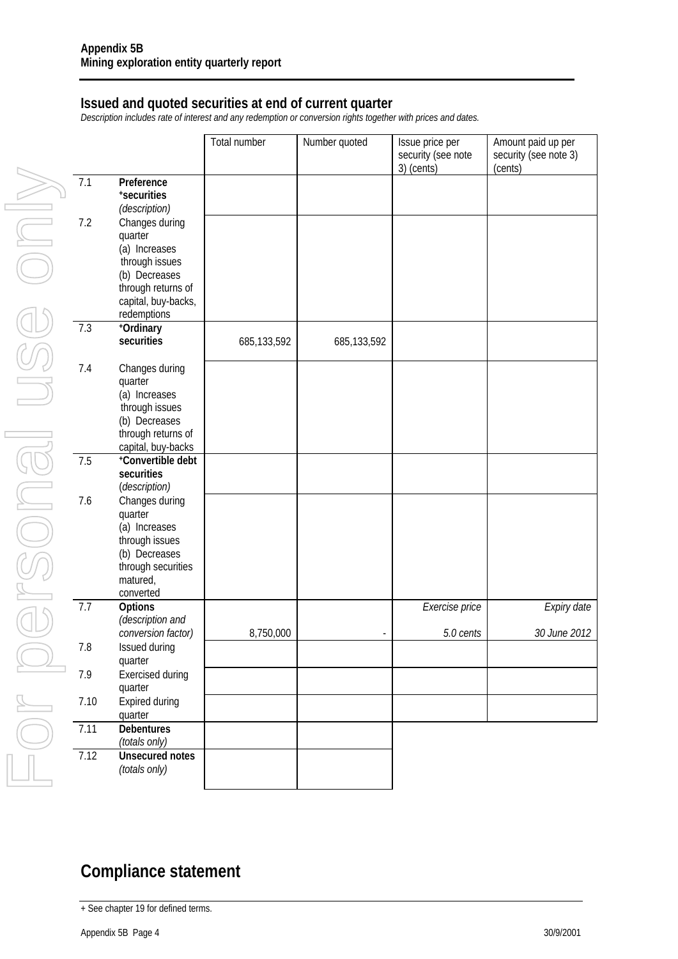### **Issued and quoted securities at end of current quarter**

*Description includes rate of interest and any redemption or conversion rights together with prices and dates.* 

|      |                                         | Total number | Number quoted | Issue price per<br>security (see note<br>3) (cents) | Amount paid up per<br>security (see note 3)<br>(cents) |
|------|-----------------------------------------|--------------|---------------|-----------------------------------------------------|--------------------------------------------------------|
| 7.1  | Preference                              |              |               |                                                     |                                                        |
|      | *securities                             |              |               |                                                     |                                                        |
|      | (description)                           |              |               |                                                     |                                                        |
| 7.2  | Changes during                          |              |               |                                                     |                                                        |
|      | quarter                                 |              |               |                                                     |                                                        |
|      | (a) Increases                           |              |               |                                                     |                                                        |
|      | through issues                          |              |               |                                                     |                                                        |
|      | (b) Decreases                           |              |               |                                                     |                                                        |
|      | through returns of                      |              |               |                                                     |                                                        |
|      | capital, buy-backs,                     |              |               |                                                     |                                                        |
|      | redemptions                             |              |               |                                                     |                                                        |
| 7.3  | +Ordinary                               |              |               |                                                     |                                                        |
|      | securities                              | 685,133,592  | 685,133,592   |                                                     |                                                        |
|      |                                         |              |               |                                                     |                                                        |
| 7.4  | Changes during                          |              |               |                                                     |                                                        |
|      | quarter                                 |              |               |                                                     |                                                        |
|      | (a) Increases                           |              |               |                                                     |                                                        |
|      | through issues                          |              |               |                                                     |                                                        |
|      | (b) Decreases                           |              |               |                                                     |                                                        |
|      | through returns of                      |              |               |                                                     |                                                        |
|      | capital, buy-backs<br>+Convertible debt |              |               |                                                     |                                                        |
| 7.5  | securities                              |              |               |                                                     |                                                        |
|      | (description)                           |              |               |                                                     |                                                        |
| 7.6  | Changes during                          |              |               |                                                     |                                                        |
|      | quarter                                 |              |               |                                                     |                                                        |
|      | (a) Increases                           |              |               |                                                     |                                                        |
|      | through issues                          |              |               |                                                     |                                                        |
|      | (b) Decreases                           |              |               |                                                     |                                                        |
|      | through securities                      |              |               |                                                     |                                                        |
|      | matured,                                |              |               |                                                     |                                                        |
|      | converted                               |              |               |                                                     |                                                        |
| 7.7  | Options                                 |              |               | Exercise price                                      | Expiry date                                            |
|      | (description and                        |              |               |                                                     |                                                        |
|      | conversion factor)                      | 8,750,000    |               | 5.0 cents                                           | 30 June 2012                                           |
| 7.8  | Issued during                           |              |               |                                                     |                                                        |
|      | quarter                                 |              |               |                                                     |                                                        |
| 7.9  | <b>Exercised during</b>                 |              |               |                                                     |                                                        |
|      | quarter                                 |              |               |                                                     |                                                        |
| 7.10 | Expired during                          |              |               |                                                     |                                                        |
|      | quarter                                 |              |               |                                                     |                                                        |
| 7.11 | <b>Debentures</b>                       |              |               |                                                     |                                                        |
|      | (totals only)                           |              |               |                                                     |                                                        |
| 7.12 | <b>Unsecured notes</b>                  |              |               |                                                     |                                                        |
|      | (totals only)                           |              |               |                                                     |                                                        |
|      |                                         |              |               |                                                     |                                                        |

# **Compliance statement**

<sup>+</sup> See chapter 19 for defined terms.